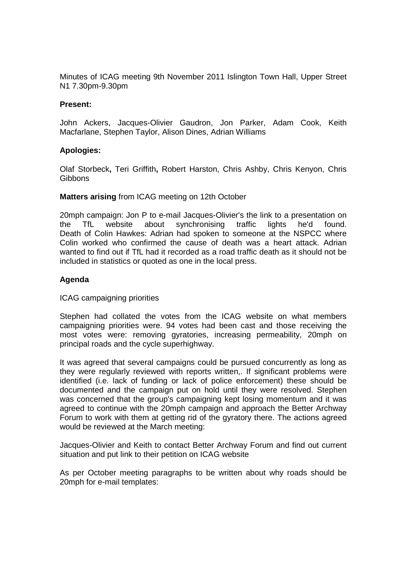Minutes of ICAG meeting 9th November 2011 Islington Town Hall, Upper Street N1 7.30pm-9.30pm

## **Present:**

John Ackers, Jacques-Olivier Gaudron, Jon Parker, Adam Cook, Keith Macfarlane, Stephen Taylor, Alison Dines, Adrian Williams

## **Apologies:**

Olaf Storbeck**,** Teri Griffith**,** Robert Harston, Chris Ashby, Chris Kenyon, Chris **Gibbons** 

# **Matters arising** from ICAG meeting on 12th October

20mph campaign: Jon P to e-mail Jacques-Olivier's the link to a presentation on the TfL website about synchronising traffic lights he'd found. Death of Colin Hawkes: Adrian had spoken to someone at the NSPCC where Colin worked who confirmed the cause of death was a heart attack. Adrian wanted to find out if TfL had it recorded as a road traffic death as it should not be included in statistics or quoted as one in the local press.

# **Agenda**

ICAG campaigning priorities

Stephen had collated the votes from the ICAG website on what members campaigning priorities were. 94 votes had been cast and those receiving the most votes were: removing gyratories, increasing permeability, 20mph on principal roads and the cycle superhighway.

It was agreed that several campaigns could be pursued concurrently as long as they were regularly reviewed with reports written,. If significant problems were identified (i.e. lack of funding or lack of police enforcement) these should be documented and the campaign put on hold until they were resolved. Stephen was concerned that the group's campaigning kept losing momentum and it was agreed to continue with the 20mph campaign and approach the Better Archway Forum to work with them at getting rid of the gyratory there. The actions agreed would be reviewed at the March meeting:

Jacques-Olivier and Keith to contact Better Archway Forum and find out current situation and put link to their petition on ICAG website

As per October meeting paragraphs to be written about why roads should be 20mph for e-mail templates: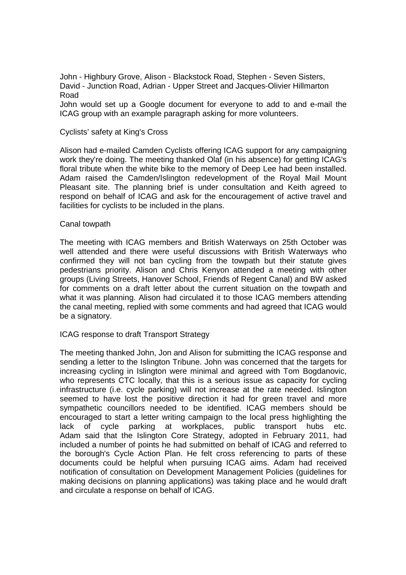John - Highbury Grove, Alison - Blackstock Road, Stephen - Seven Sisters, David - Junction Road, Adrian - Upper Street and Jacques-Olivier Hillmarton Road John would set up a Google document for everyone to add to and e-mail the ICAG group with an example paragraph asking for more volunteers.

### Cyclists' safety at King's Cross

Alison had e-mailed Camden Cyclists offering ICAG support for any campaigning work they're doing. The meeting thanked Olaf (in his absence) for getting ICAG's floral tribute when the white bike to the memory of Deep Lee had been installed. Adam raised the Camden/Islington redevelopment of the Royal Mail Mount Pleasant site. The planning brief is under consultation and Keith agreed to respond on behalf of ICAG and ask for the encouragement of active travel and facilities for cyclists to be included in the plans.

#### Canal towpath

The meeting with ICAG members and British Waterways on 25th October was well attended and there were useful discussions with British Waterways who confirmed they will not ban cycling from the towpath but their statute gives pedestrians priority. Alison and Chris Kenyon attended a meeting with other groups (Living Streets, Hanover School, Friends of Regent Canal) and BW asked for comments on a draft letter about the current situation on the towpath and what it was planning. Alison had circulated it to those ICAG members attending the canal meeting, replied with some comments and had agreed that ICAG would be a signatory.

## ICAG response to draft Transport Strategy

The meeting thanked John, Jon and Alison for submitting the ICAG response and sending a letter to the Islington Tribune. John was concerned that the targets for increasing cycling in Islington were minimal and agreed with Tom Bogdanovic, who represents CTC locally, that this is a serious issue as capacity for cycling infrastructure (i.e. cycle parking) will not increase at the rate needed. Islington seemed to have lost the positive direction it had for green travel and more sympathetic councillors needed to be identified. ICAG members should be encouraged to start a letter writing campaign to the local press highlighting the lack of cycle parking at workplaces, public transport hubs etc. Adam said that the Islington Core Strategy, adopted in February 2011, had included a number of points he had submitted on behalf of ICAG and referred to the borough's Cycle Action Plan. He felt cross referencing to parts of these documents could be helpful when pursuing ICAG aims. Adam had received notification of consultation on Development Management Policies (guidelines for making decisions on planning applications) was taking place and he would draft and circulate a response on behalf of ICAG.